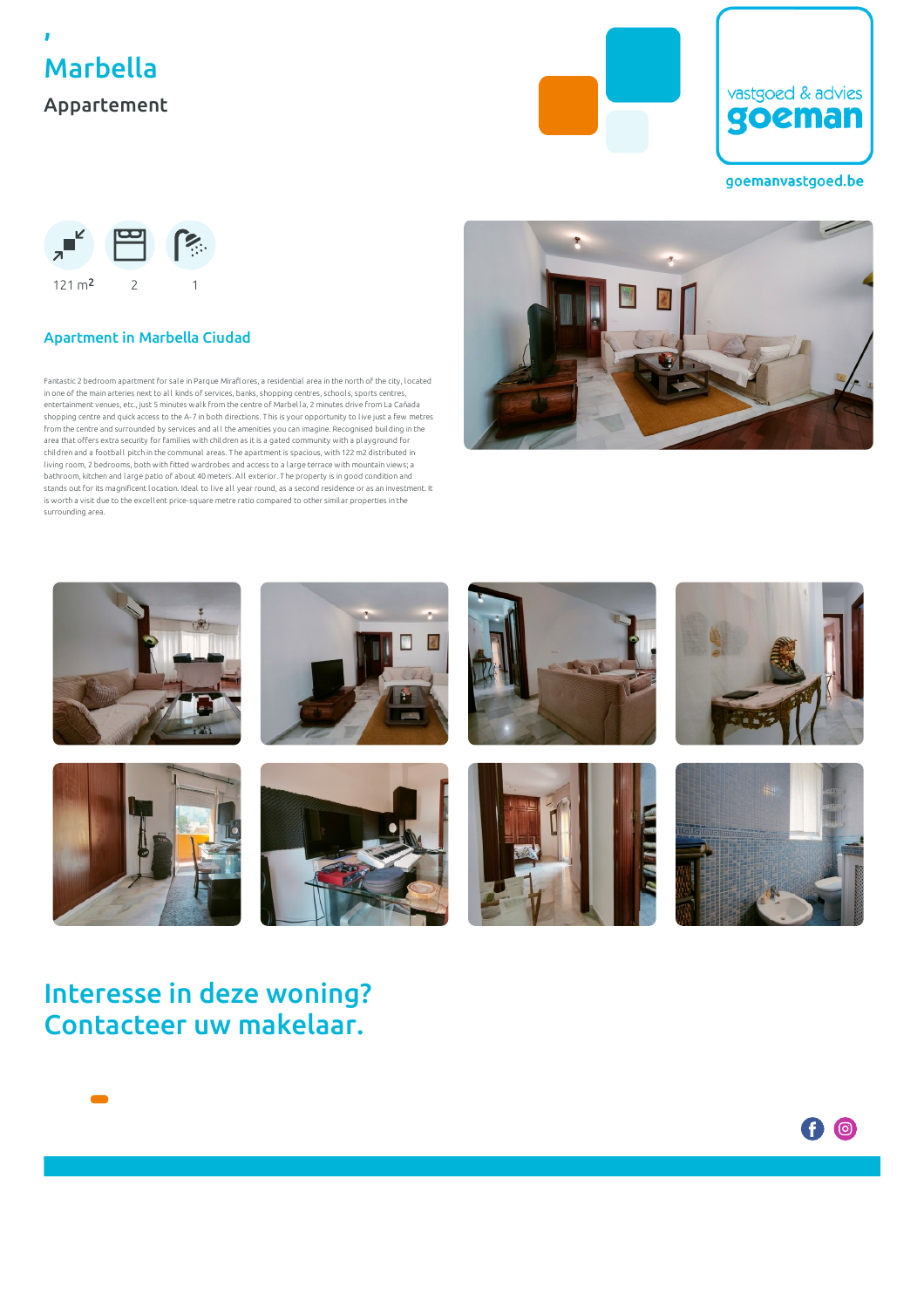





### goemanvastgoed.be



## Apartment in Marbella Ciudad

Fantastic 2 bedroom apartment for sale in Parque Miraflores, a residential area in the north of the city, located in one of the main arteries next to al l kinds of services, banks, shopping centres, school s, sports centres, entertainment venues, etc., just 5 minutes wal k from the centre of Marbel la, 2 minutes drive from La Cañada shopping centre and quick access to the A-7 in both directions. T his is your opportunity to live just a few metres from the centre and surrounded by services and al l the amenities you can imagine. Recognised building in the area that offers extra security for famil ies with children as it is a gated community with a pl ayground for children and a football pitch in the communal areas. The apartment is spacious, with 122 m2 distributed in l iving room, 2 bedrooms, both with fitted wardrobes and access to a l arge terrace with mountain views; a bathroom, kitchen and large patio of about 40 meters. Al l exterior. T he property is in good condition and stands out for its magnificent location. Ideal to live al l year round, as a second residence or as an investment. It is worth a visit due to the excel lent price-square metre ratio compared to other simil ar properties in the surrounding area.





# Interesse in deze woning? Contacteer uw makelaar.